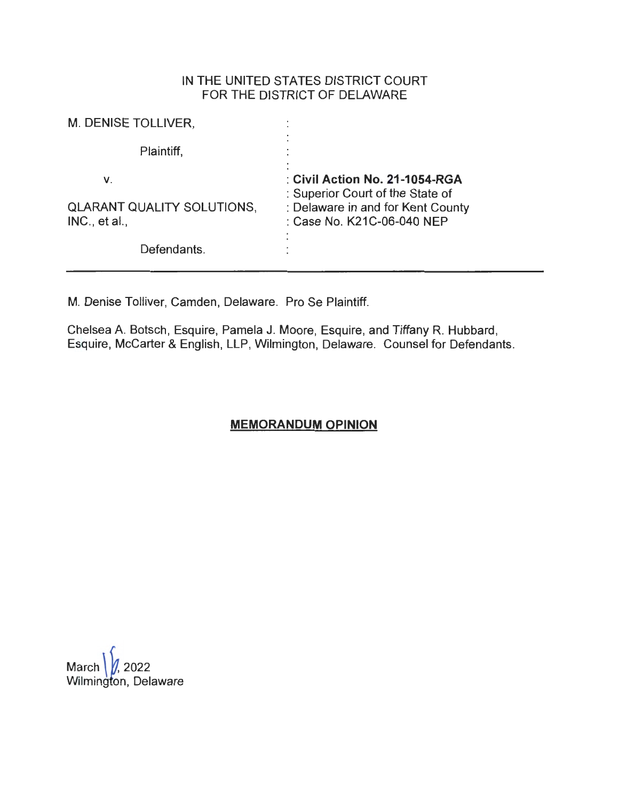## IN THE UNITED STATES DISTRICT COURT FOR THE DISTRICT OF DELAWARE

| M. DENISE TOLLIVER,                                      |                                                                                                                                       |
|----------------------------------------------------------|---------------------------------------------------------------------------------------------------------------------------------------|
| Plaintiff,                                               |                                                                                                                                       |
| ۷.<br><b>QLARANT QUALITY SOLUTIONS,</b><br>INC., et al., | : Civil Action No. 21-1054-RGA<br>: Superior Court of the State of<br>: Delaware in and for Kent County<br>: Case No. K21C-06-040 NEP |
| Defendants.                                              |                                                                                                                                       |

M. Denise Tolliver, Camden, Delaware. Pro Se Plaintiff.

Chelsea A. Botsch, Esquire, Pamela J. Moore, Esquire, and Tiffany R. Hubbard, Esquire, Mccarter & English, LLP, Wilmington, Delaware. Counsel for Defendants.

# **MEMORANDUM OPINION**

March  $/$ , 2022 Wilmington, Delaware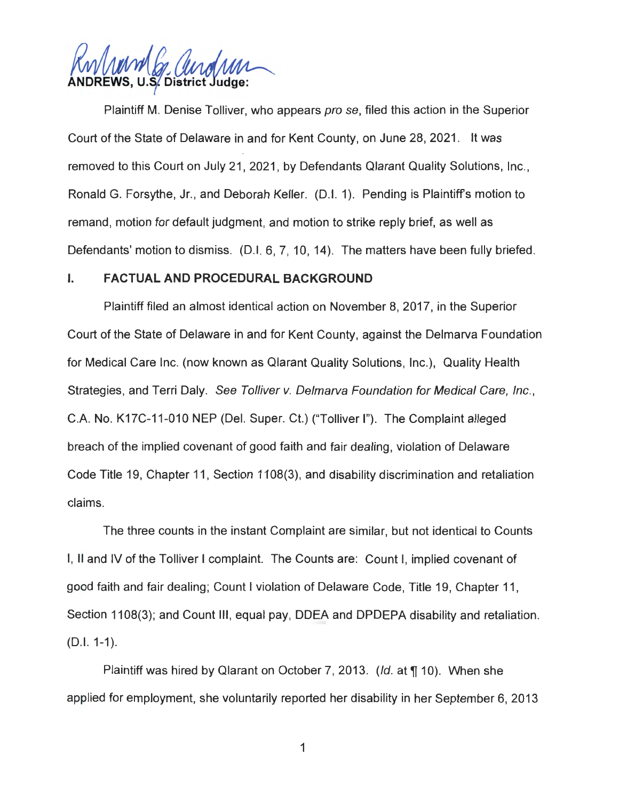f&vW1m1J. */),A ,1,,* f,f,. \_ **ADREWS, U.S. District Judge:** 

Plaintiff M. Denise Tolliver, who appears pro se, filed this action in the Superior Court of the State of Delaware in and for Kent County, on June 28, 2021. It was removed to this Court on July 21, 2021, by Defendants Qlarant Quality Solutions, Inc., Ronald G. Forsythe, Jr., and Deborah Keller. (D.I. 1). Pending is Plaintiff's motion to remand, motion for default judgment, and motion to strike reply brief, as well as Defendants' motion to dismiss. (D.I. 6, 7, 10, 14). The matters have been fully briefed.

### I. **FACTUAL AND PROCEDURAL BACKGROUND**

Plaintiff filed an almost identical action on November 8, 2017, in the Superior Court of the State of Delaware in and for Kent County, against the Delmarva Foundation for Medical Care Inc. (now known as Qlarant Quality Solutions, Inc.), Quality Health Strategies, and Terri Daly. See Tolliver v. Delmarva Foundation for Medical Care, Inc., C.A. No. K17C-11-010 NEP (Del. Super. Ct.) ("Tolliver I"). The Complaint alleged breach of the implied covenant of good faith and fair dealing, violation of Delaware Code Title 19, Chapter 11, Section 1108(3), and disability discrimination and retaliation claims.

The three counts in the instant Complaint are similar, but not identical to Counts I, II and IV of the Tolliver I complaint. The Counts are: Count I, implied covenant of good faith and fair dealing; Count I violation of Delaware Code, Title 19, Chapter 11 , Section 1108(3); and Count III, equal pay, DDEA and DPDEPA disability and retaliation. (D.I. 1-1).

Plaintiff was hired by Qlarant on October 7, 2013. (*Id.* at **1** 10). When she applied for employment, she voluntarily reported her disability in her September 6, 2013

1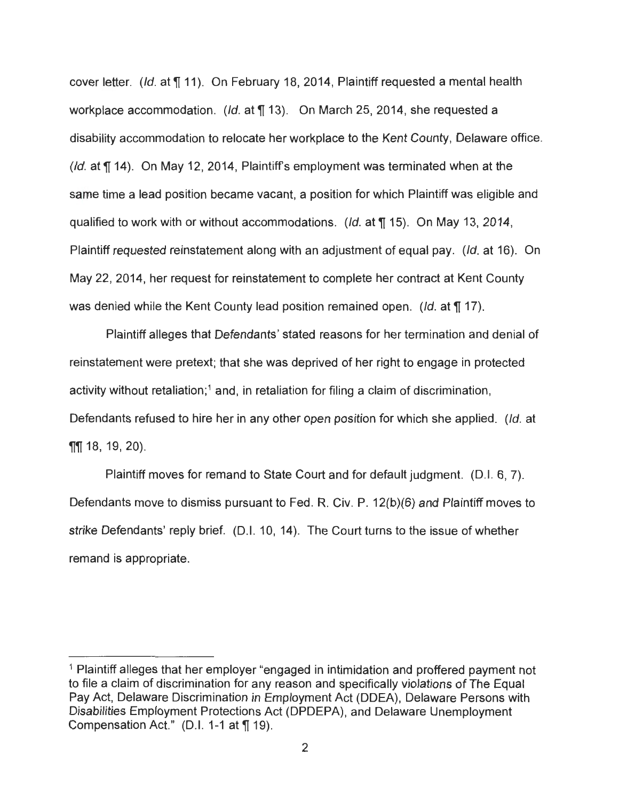cover letter. (Id. at  $\P$  11). On February 18, 2014, Plaintiff requested a mental health workplace accommodation. (Id. at  $\P$  13). On March 25, 2014, she requested a disability accommodation to relocate her workplace to the Kent County, Delaware office. (Id. at  $\P$  14). On May 12, 2014, Plaintiff's employment was terminated when at the same time a lead position became vacant, a position for which Plaintiff was eligible and qualified to work with or without accommodations. (Id. at ¶ 15). On May 13, 2014, Plaintiff requested reinstatement along with an adjustment of equal pay. (Id. at 16). On May 22, 2014, her request for reinstatement to complete her contract at Kent County was denied while the Kent County lead position remained open. (Id. at **[17**).

Plaintiff alleges that Defendants' stated reasons for her termination and denial of reinstatement were pretext; that she was deprived of her right to engage in protected activity without retaliation;<sup>1</sup> and, in retaliation for filing a claim of discrimination, Defendants refused to hire her in any other open position for which she applied. (Id. at **11** 18, 19, 20).

Plaintiff moves for remand to State Court and for default judgment. (D.I. 6, 7). Defendants move to dismiss pursuant to Fed. R. Civ. P. 12(b)(6) and Plaintiff moves to strike Defendants' reply brief. (D.I. 10, 14). The Court turns to the issue of whether remand is appropriate.

<sup>&</sup>lt;sup>1</sup> Plaintiff alleges that her employer "engaged in intimidation and proffered payment not to file a claim of discrimination for any reason and specifically violations of The Equal Pay Act, Delaware Discrimination in Employment Act (ODEA), Delaware Persons with Disabilities Employment Protections Act (DPDEPA), and Delaware Unemployment Compensation Act." (D.I. 1-1 at ¶ 19).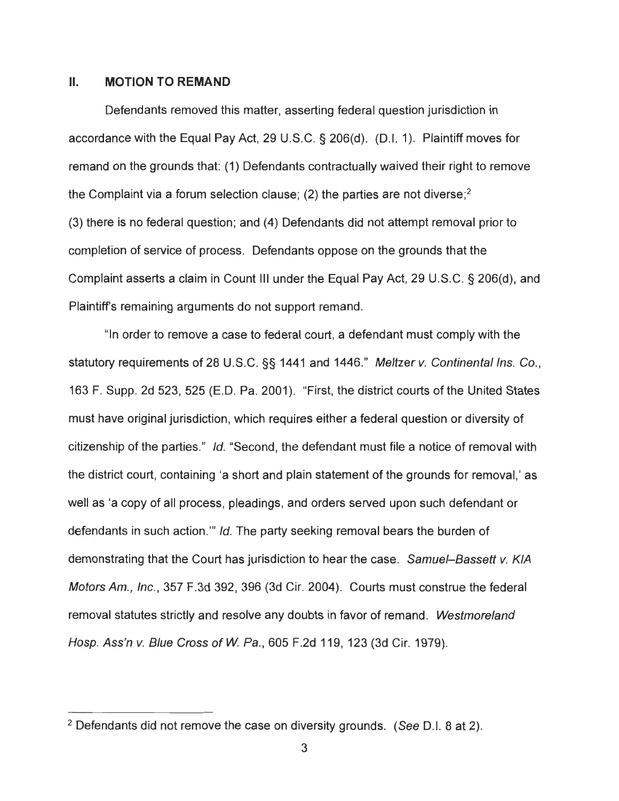#### II. **MOTION TO REMAND**

Defendants removed this matter, asserting federal question jurisdiction in accordance with the Equal Pay Act, 29 U.S.C. § 206(d). (0.1. 1 ). Plaintiff moves for remand on the grounds that: (1) Defendants contractually waived their right to remove the Complaint via a forum selection clause; (2) the parties are not diverse; 2 (3) there is no federal question; and (4) Defendants did not attempt removal prior to completion of service of process. Defendants oppose on the grounds that the Complaint asserts a claim in Count Ill under the Equal Pay Act, 29 U.S.C. § 206(d), and Plaintiff's remaining arguments do not support remand.

"In order to remove a case to federal court, a defendant must comply with the statutory requirements of 28 U.S.C. §§ 1441 and 1446." Meltzer v. Continental Ins. Co., 163 F. Supp. 2d 523,525 (E.D. Pa. 2001). "First, the district courts of the United States must have original jurisdiction, which requires either a federal question or diversity of citizenship of the parties." Id. "Second, the defendant must file a notice of removal with the district court, containing 'a short and plain statement of the grounds for removal,' as well as 'a copy of all process, pleadings, and orders served upon such defendant or defiendants in such action." Id. The party seeking removal bears the burden of demonstrating that the Court has jurisdiction to hear the case. Samuel-Bassett v. KIA Motors Am., Inc. , 357 F.3d 392, 396 (3d Cir. 2004). Courts must construe the federal removal statutes strictly and resolve any doubts in favor of remand. Westmoreland Hosp. Ass'n v. Blue Cross of W. Pa., 605 F.2d 119, 123 (3d Cir. 1979).

 $2$  Defendants did not remove the case on diversity grounds. (See D.I. 8 at 2).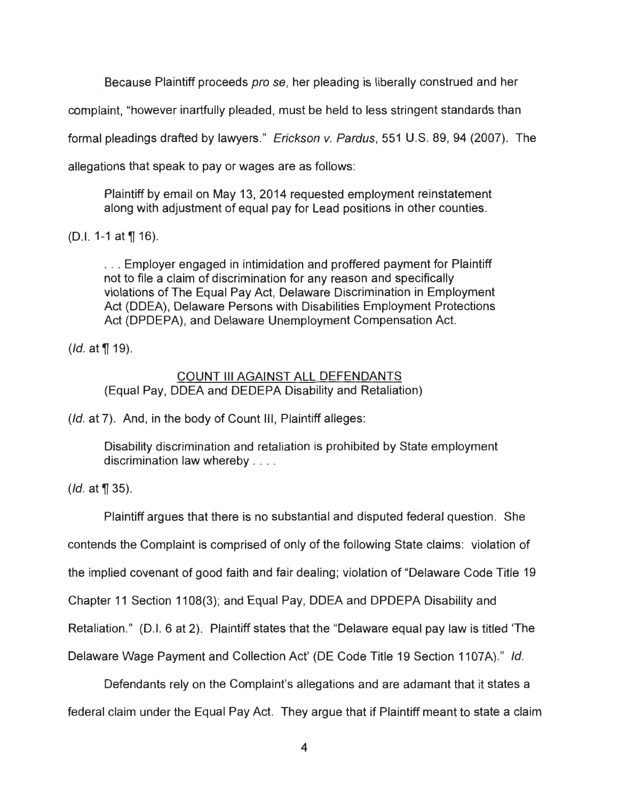Because Plaintiff proceeds pro se, her pleading is liberally construed and her

complaint, "however inartfully pleaded, must be held to less stringent standards than

formal pleadings drafted by lawyers." Erickson v. Pardus, 551 U.S. 89, 94 (2007). The

allegations that speak to pay or wages are as follows :

Plaintiff by email on May 13, 2014 requested employment reinstatement along with adjustment of equal pay for Lead positions in other counties.

(D.I. 1-1 at  $\P$  16).

. . . Employer engaged in intimidation and proffered payment for Plaintiff not to file a claim of discrimination for any reason and specifically violations of The Equal Pay Act, Delaware Discrimination in Employment Act (ODEA), Delaware Persons with Disabilities Employment Protections Act (DPDEPA), and Delaware Unemployment Compensation Act.

 $(Id. at  $\sqrt{\frac{1}{1}}$  19).$ 

## COUNT Ill AGAINST ALL DEFENDANTS (Equal Pay, ODEA and DEDEPA Disability and Retaliation)

(*Id.* at 7). And, in the body of Count III, Plaintiff alleges:

Disability discrimination and retaliation is prohibited by State employment discrimination law whereby . . . .

 $(Id. at  $\sqrt{9}$  35).$ 

Plaintiff argues that there is no substantial and disputed federal question. She contends the Complaint is comprised of only of the following State claims: violation of the implied covenant of good faith and fair dealing; violation of "Delaware Code Title 19" Chapter 11 Section 1108(3); and Equal Pay, ODEA and DPDEPA Disability and Retaliation." (D.I. 6 at 2). Plaintiff states that the "Delaware equal pay law is titled 'The

Delaware Wage Payment and Collection Act' (DE Code Title 19 Section 1107A)." Id.

Defendants rely on the Complaint's allegations and are adamant that it states a federal claim under the Equal Pay Act. They argue that if Plaintiff meant to state a claim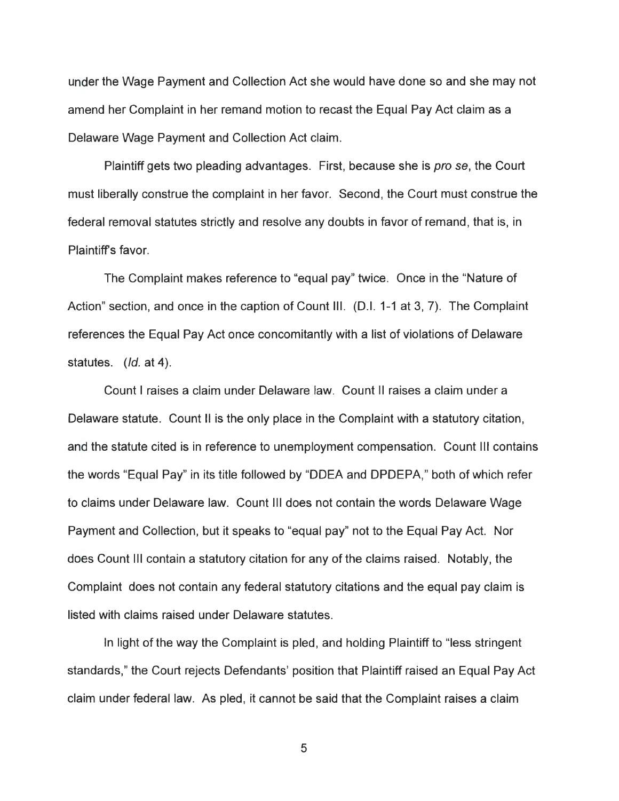under the Wage Payment and Collection Act she would have done so and she may not amend her Complaint in her remand motion to recast the Equal Pay Act claim as a Delaware Wage Payment and Collection Act claim.

Plaintiff gets two pleading advantages. First, because she is pro se, the Court must liberally construe the complaint in her favor. Second, the Court must construe the federal removal statutes strictly and resolve any doubts in favor of remand, that is, in Plaintiff's favor.

The Complaint makes reference to "equal pay" twice. Once in the "Nature of Action" section, and once in the caption of Count Ill. (D.I. 1-1 at 3, 7). The Complaint references the Equal Pay Act once concomitantly with a list of violations of Delaware statutes. (*Id.* at 4).

Count I raises a claim under Delaware law. Count II raises a claim under a Delaware statute. Count II is the only place in the Complaint with a statutory citation, and the statute cited is in reference to unemployment compensation. Count III contains the words "Equal Pay" in its title followed by "ODEA and DPDEPA," both of which refer to claims under Delaware law. Count Ill does not contain the words Delaware Wage Payment and Collection, but it speaks to "equal pay" not to the Equal Pay Act. Nor does Count III contain a statutory citation for any of the claims raised. Notably, the Complaint does not contain any federal statutory citations and the equal pay claim is listed with claims raised under Delaware statutes.

In light of the way the Complaint is pled, and holding Plaintiff to "less stringent" standards," the Court rejects Defendants' position that Plaintiff raised an Equal Pay Act claim under federal law. As pied, it cannot be said that the Complaint raises a claim

5